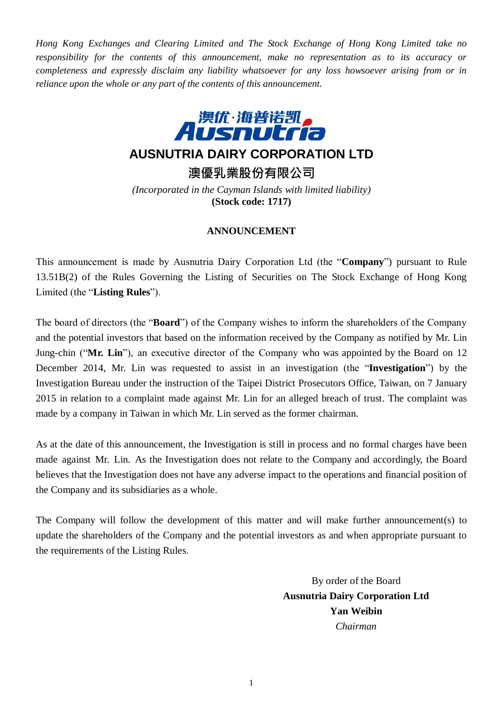*Hong Kong Exchanges and Clearing Limited and The Stock Exchange of Hong Kong Limited take no responsibility for the contents of this announcement, make no representation as to its accuracy or completeness and expressly disclaim any liability whatsoever for any loss howsoever arising from or in reliance upon the whole or any part of the contents of this announcement.*



## **AUSNUTRIA DAIRY CORPORATION LTD**

**澳優乳業股份有限公司**

*(Incorporated in the Cayman Islands with limited liability)* **(Stock code: 1717)**

## **ANNOUNCEMENT**

This announcement is made by Ausnutria Dairy Corporation Ltd (the "**Company**") pursuant to Rule 13.51B(2) of the Rules Governing the Listing of Securities on The Stock Exchange of Hong Kong Limited (the "**Listing Rules**").

The board of directors (the "**Board**") of the Company wishes to inform the shareholders of the Company and the potential investors that based on the information received by the Company as notified by Mr. Lin Jung-chin ("**Mr. Lin**"), an executive director of the Company who was appointed by the Board on 12 December 2014, Mr. Lin was requested to assist in an investigation (the "**Investigation**") by the Investigation Bureau under the instruction of the Taipei District Prosecutors Office, Taiwan, on 7 January 2015 in relation to a complaint made against Mr. Lin for an alleged breach of trust. The complaint was made by a company in Taiwan in which Mr. Lin served as the former chairman.

As at the date of this announcement, the Investigation is still in process and no formal charges have been made against Mr. Lin. As the Investigation does not relate to the Company and accordingly, the Board believes that the Investigation does not have any adverse impact to the operations and financial position of the Company and its subsidiaries as a whole.

The Company will follow the development of this matter and will make further announcement(s) to update the shareholders of the Company and the potential investors as and when appropriate pursuant to the requirements of the Listing Rules.

> By order of the Board **Ausnutria Dairy Corporation Ltd Yan Weibin** *Chairman*